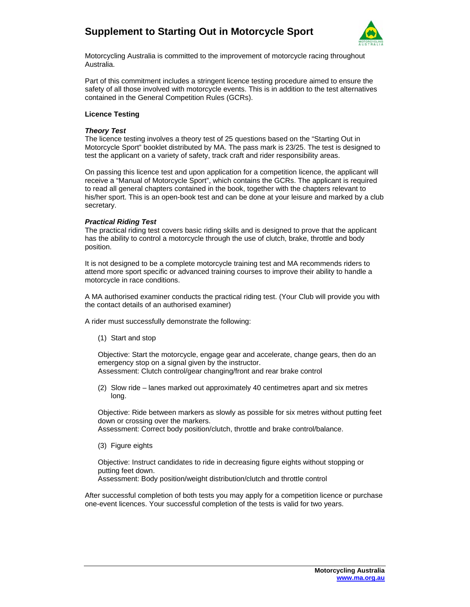## **Supplement to Starting Out in Motorcycle Sport**



Motorcycling Australia is committed to the improvement of motorcycle racing throughout Australia.

Part of this commitment includes a stringent licence testing procedure aimed to ensure the safety of all those involved with motorcycle events. This is in addition to the test alternatives contained in the General Competition Rules (GCRs).

#### **Licence Testing**

#### *Theory Test*

The licence testing involves a theory test of 25 questions based on the "Starting Out in Motorcycle Sport" booklet distributed by MA. The pass mark is 23/25. The test is designed to test the applicant on a variety of safety, track craft and rider responsibility areas.

On passing this licence test and upon application for a competition licence, the applicant will receive a "Manual of Motorcycle Sport", which contains the GCRs. The applicant is required to read all general chapters contained in the book, together with the chapters relevant to his/her sport. This is an open-book test and can be done at your leisure and marked by a club secretary.

#### *Practical Riding Test*

The practical riding test covers basic riding skills and is designed to prove that the applicant has the ability to control a motorcycle through the use of clutch, brake, throttle and body position.

It is not designed to be a complete motorcycle training test and MA recommends riders to attend more sport specific or advanced training courses to improve their ability to handle a motorcycle in race conditions.

A MA authorised examiner conducts the practical riding test. (Your Club will provide you with the contact details of an authorised examiner)

A rider must successfully demonstrate the following:

(1) Start and stop

Objective: Start the motorcycle, engage gear and accelerate, change gears, then do an emergency stop on a signal given by the instructor. Assessment: Clutch control/gear changing/front and rear brake control

(2) Slow ride – lanes marked out approximately 40 centimetres apart and six metres long.

Objective: Ride between markers as slowly as possible for six metres without putting feet down or crossing over the markers.

Assessment: Correct body position/clutch, throttle and brake control/balance.

(3) Figure eights

Objective: Instruct candidates to ride in decreasing figure eights without stopping or putting feet down.

Assessment: Body position/weight distribution/clutch and throttle control

After successful completion of both tests you may apply for a competition licence or purchase one-event licences. Your successful completion of the tests is valid for two years.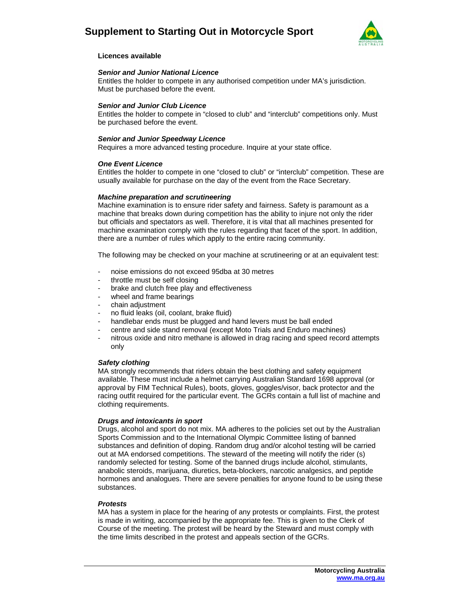### **Supplement to Starting Out in Motorcycle Sport**



#### **Licences available**

#### *Senior and Junior National Licence*

Entitles the holder to compete in any authorised competition under MA's jurisdiction. Must be purchased before the event.

#### *Senior and Junior Club Licence*

Entitles the holder to compete in "closed to club" and "interclub" competitions only. Must be purchased before the event.

#### *Senior and Junior Speedway Licence*

Requires a more advanced testing procedure. Inquire at your state office.

#### *One Event Licence*

Entitles the holder to compete in one "closed to club" or "interclub" competition. These are usually available for purchase on the day of the event from the Race Secretary.

#### *Machine preparation and scrutineering*

Machine examination is to ensure rider safety and fairness. Safety is paramount as a machine that breaks down during competition has the ability to injure not only the rider but officials and spectators as well. Therefore, it is vital that all machines presented for machine examination comply with the rules regarding that facet of the sport. In addition, there are a number of rules which apply to the entire racing community.

The following may be checked on your machine at scrutineering or at an equivalent test:

- noise emissions do not exceed 95dba at 30 metres
- throttle must be self closing
- brake and clutch free play and effectiveness
- wheel and frame bearings
- chain adiustment
- no fluid leaks (oil, coolant, brake fluid)
- handlebar ends must be plugged and hand levers must be ball ended
- centre and side stand removal (except Moto Trials and Enduro machines)
- nitrous oxide and nitro methane is allowed in drag racing and speed record attempts only

#### *Safety clothing*

MA strongly recommends that riders obtain the best clothing and safety equipment available. These must include a helmet carrying Australian Standard 1698 approval (or approval by FIM Technical Rules), boots, gloves, goggles/visor, back protector and the racing outfit required for the particular event. The GCRs contain a full list of machine and clothing requirements.

#### *Drugs and intoxicants in sport*

Drugs, alcohol and sport do not mix. MA adheres to the policies set out by the Australian Sports Commission and to the International Olympic Committee listing of banned substances and definition of doping. Random drug and/or alcohol testing will be carried out at MA endorsed competitions. The steward of the meeting will notify the rider (s) randomly selected for testing. Some of the banned drugs include alcohol, stimulants, anabolic steroids, marijuana, diuretics, beta-blockers, narcotic analgesics, and peptide hormones and analogues. There are severe penalties for anyone found to be using these substances.

#### *Protests*

MA has a system in place for the hearing of any protests or complaints. First, the protest is made in writing, accompanied by the appropriate fee. This is given to the Clerk of Course of the meeting. The protest will be heard by the Steward and must comply with the time limits described in the protest and appeals section of the GCRs.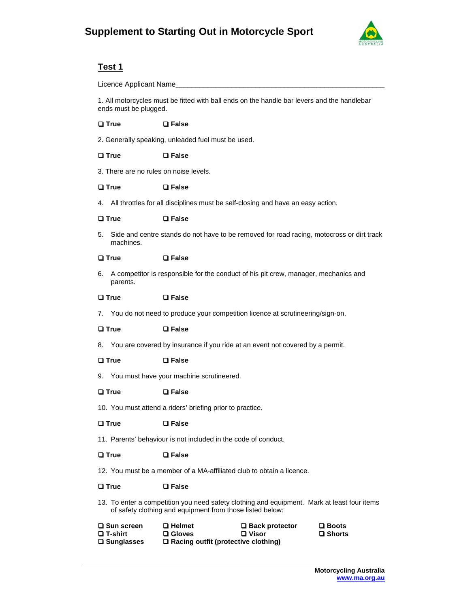

### **Test 1**

Licence Applicant Name\_\_\_\_\_\_\_\_\_\_\_\_\_\_\_\_\_\_\_\_\_\_\_\_\_\_\_\_\_\_\_\_\_\_\_\_\_\_\_\_\_\_\_\_\_\_\_\_\_\_\_\_

1. All motorcycles must be fitted with ball ends on the handle bar levers and the handlebar ends must be plugged.

#### **True False**

2. Generally speaking, unleaded fuel must be used.

#### **True False**

3. There are no rules on noise levels.

#### **True False**

4. All throttles for all disciplines must be self-closing and have an easy action.

#### **True False**

5. Side and centre stands do not have to be removed for road racing, motocross or dirt track machines.

#### **True False**

6. A competitor is responsible for the conduct of his pit crew, manager, mechanics and parents.

#### **True False**

7. You do not need to produce your competition licence at scrutineering/sign-on.

#### **True False**

8. You are covered by insurance if you ride at an event not covered by a permit.

#### **True False**

9. You must have your machine scrutineered.

#### **True False**

10. You must attend a riders' briefing prior to practice.

#### **True False**

11. Parents' behaviour is not included in the code of conduct.

#### **True False**

12. You must be a member of a MA-affiliated club to obtain a licence.

#### **True False**

13. To enter a competition you need safety clothing and equipment. Mark at least four items of safety clothing and equipment from those listed below:

| <b>□ Sun screen</b> | $\square$ Helmet                           | □ Back protector | $\square$ Boots  |
|---------------------|--------------------------------------------|------------------|------------------|
| <b>□ T-shirt</b>    | $\square$ Gloves                           | $\Box$ Visor     | $\square$ Shorts |
| <b>□ Sunglasses</b> | $\Box$ Racing outfit (protective clothing) |                  |                  |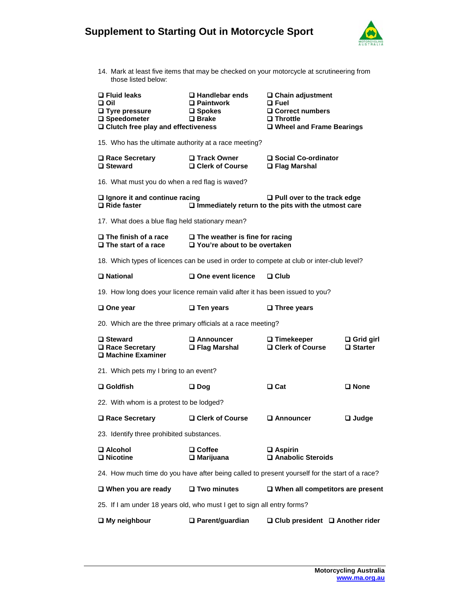# **Supplement to Starting Out in Motorcycle Sport**



14. Mark at least five items that may be checked on your motorcycle at scrutineering from those listed below:

| $\Box$ Fluid leaks<br>ווס ם<br>$\Box$ Tyre pressure<br>□ Speedometer<br>$\Box$ Clutch free play and effectiveness | $\Box$ Handlebar ends<br>□ Paintwork<br>$\square$ Spokes<br>$\square$ Brake  | $\Box$ Chain adjustment<br>$\Box$ Fuel<br>$\Box$ Correct numbers<br>$\square$ Throttle<br>□ Wheel and Frame Bearings |                                       |
|-------------------------------------------------------------------------------------------------------------------|------------------------------------------------------------------------------|----------------------------------------------------------------------------------------------------------------------|---------------------------------------|
| 15. Who has the ultimate authority at a race meeting?                                                             |                                                                              |                                                                                                                      |                                       |
| <b>□ Race Secretary</b><br>□ Steward                                                                              | <b>□ Track Owner</b><br>□ Clerk of Course                                    | □ Social Co-ordinator<br><b>□ Flag Marshal</b>                                                                       |                                       |
| 16. What must you do when a red flag is waved?                                                                    |                                                                              |                                                                                                                      |                                       |
| $\Box$ Ignore it and continue racing<br>□ Ride faster                                                             |                                                                              | $\Box$ Pull over to the track edge<br>$\Box$ Immediately return to the pits with the utmost care                     |                                       |
| 17. What does a blue flag held stationary mean?                                                                   |                                                                              |                                                                                                                      |                                       |
| $\square$ The finish of a race<br>$\square$ The start of a race                                                   | $\Box$ The weather is fine for racing<br>$\Box$ You're about to be overtaken |                                                                                                                      |                                       |
| 18. Which types of licences can be used in order to compete at club or inter-club level?                          |                                                                              |                                                                                                                      |                                       |
| □ National                                                                                                        | □ One event licence                                                          | $\square$ Club                                                                                                       |                                       |
| 19. How long does your licence remain valid after it has been issued to you?                                      |                                                                              |                                                                                                                      |                                       |
| $\square$ One year                                                                                                | $\square$ Ten years                                                          | $\square$ Three years                                                                                                |                                       |
| 20. Which are the three primary officials at a race meeting?                                                      |                                                                              |                                                                                                                      |                                       |
| <b>□ Steward</b><br>□ Race Secretary<br>□ Machine Examiner                                                        | <b>□ Announcer</b><br>□ Flag Marshal                                         | $\square$ Timekeeper<br>□ Clerk of Course                                                                            | $\Box$ Grid girl<br>$\square$ Starter |
| 21. Which pets my I bring to an event?                                                                            |                                                                              |                                                                                                                      |                                       |
| $\square$ Goldfish                                                                                                | $\square$ Dog                                                                | □ Cat                                                                                                                | $\square$ None                        |
| 22. With whom is a protest to be lodged?                                                                          |                                                                              |                                                                                                                      |                                       |
| <b>□ Race Secretary</b>                                                                                           | □ Clerk of Course                                                            | <b>□ Announcer</b>                                                                                                   | $\Box$ Judge                          |
| 23. Identify three prohibited substances.                                                                         |                                                                              |                                                                                                                      |                                       |
| $\square$ Alcohol<br><b>□</b> Nicotine                                                                            | $\square$ Coffee<br>$\Box$ Marijuana                                         | $\square$ Aspirin<br>Anabolic Steroids                                                                               |                                       |
| 24. How much time do you have after being called to present yourself for the start of a race?                     |                                                                              |                                                                                                                      |                                       |
| $\Box$ When you are ready                                                                                         | □ Two minutes                                                                | $\Box$ When all competitors are present                                                                              |                                       |
| 25. If I am under 18 years old, who must I get to sign all entry forms?                                           |                                                                              |                                                                                                                      |                                       |
| $\Box$ My neighbour                                                                                               | $\Box$ Parent/guardian                                                       | $\Box$ Club president $\Box$ Another rider                                                                           |                                       |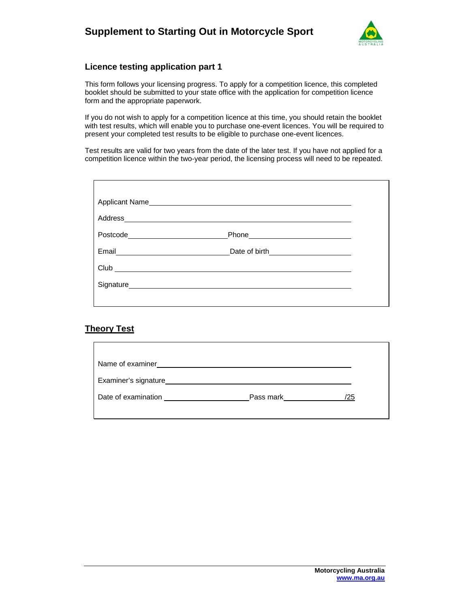

### **Licence testing application part 1**

This form follows your licensing progress. To apply for a competition licence, this completed booklet should be submitted to your state office with the application for competition licence form and the appropriate paperwork.

If you do not wish to apply for a competition licence at this time, you should retain the booklet with test results, which will enable you to purchase one-event licences. You will be required to present your completed test results to be eligible to purchase one-event licences.

Test results are valid for two years from the date of the later test. If you have not applied for a competition licence within the two-year period, the licensing process will need to be repeated.

|       | Applicant Name                                                                                                                                                                                                                 |  |
|-------|--------------------------------------------------------------------------------------------------------------------------------------------------------------------------------------------------------------------------------|--|
|       |                                                                                                                                                                                                                                |  |
|       |                                                                                                                                                                                                                                |  |
| Email |                                                                                                                                                                                                                                |  |
|       | $Club$ $\qquad \qquad$                                                                                                                                                                                                         |  |
|       | Signature experience and the state of the state of the state of the state of the state of the state of the state of the state of the state of the state of the state of the state of the state of the state of the state of th |  |
|       |                                                                                                                                                                                                                                |  |

### **Theory Test**

| Name of examiner     |           |     |
|----------------------|-----------|-----|
| Examiner's signature |           |     |
| Date of examination  | Pass mark | /25 |
|                      |           |     |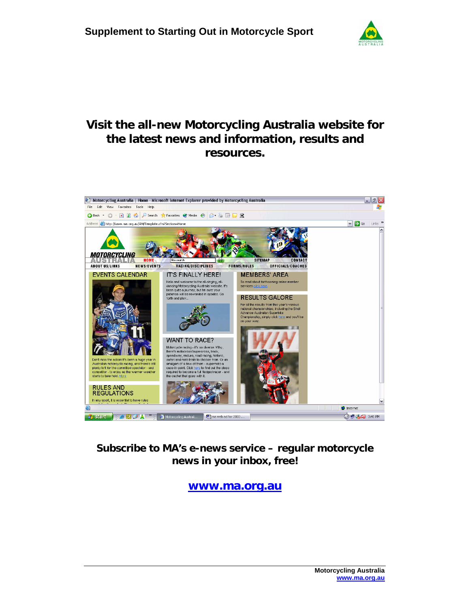

# **Visit the all-new Motorcycling Australia website for the latest news and information, results and resources.**



## **Subscribe to MA's e-news service – regular motorcycle news in your inbox, free!**

**www.ma.org.au**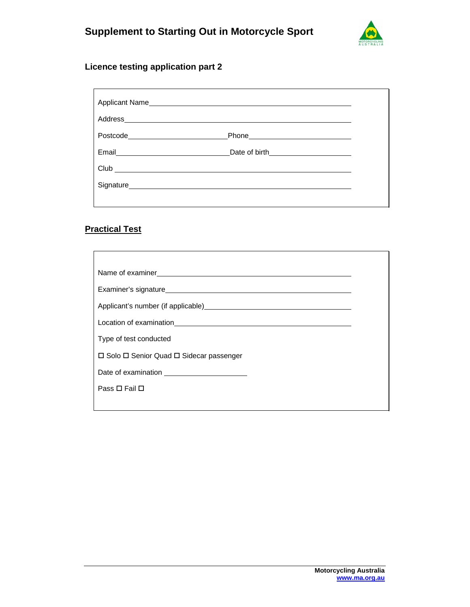

### **Licence testing application part 2**

| Applicant Name                |  |
|-------------------------------|--|
|                               |  |
| Postcode_____________________ |  |
| Email <b>Email</b>            |  |
| $Club$ $\qquad \qquad$        |  |
|                               |  |
|                               |  |

## **Practical Test**

| Type of test conducted                   |  |  |
|------------------------------------------|--|--|
| □ Solo □ Senior Quad □ Sidecar passenger |  |  |
|                                          |  |  |
| Pass □ Fail □                            |  |  |
|                                          |  |  |